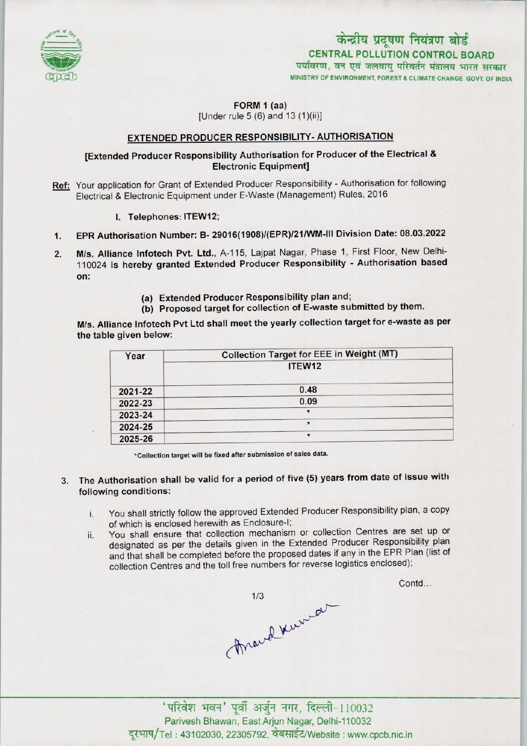

# MINISTRY OF ENVIRONMENT, FOREST & CLIMATE CHANGE GOVT. OF INDIA CENTRAL POLLUTION CONTROL BOARD<br>पर्यावरण, वन एवं जलवाय परिवर्तन मंत्रालय भारत सरकार केन्द्रीय प्रदूषण नियंत्रण बोर्ड

#### FORM 1 (aa) [Under rule  $5(6)$  and  $13(1)(ii)$ ]

#### EXTENDED PRODUCER RESPONSIBILITY-AUTHORISATION

### [Extended Producer Responsibility Authorisation for Producer of the Electrical & Electronic Equipment]

- Ref: Your application for Grant of Extended Producer Responsibility Authorisation for following Electrical & Electronic Equipment under E-Waste (Management) Rules, 2016
	- I. Telephones: ITEW12;
- 1.EPR Authorisation Number: B- 29016(1908)/(EPR)/21/WM-lll Division Date: 08.03.2022
- 2. EPR Authorisation Number: B- 29016(1908)/(EPR)/21/WM-III Division Date: 08.03.2022<br>2. M/s. Alliance Infotech Pvt. Ltd., A-115, Lajpat Nagar, Phase 1, First Floor, New Delhi-M/s. Alliance Infotech Pvt. Ltd., A-115, Lajpat Nagar, Phase 1, First Floor, New Delhi-<br>110024 is hereby granted Extended Producer Responsibility - Authorisation based on:
	- (a)Extended Producer Responsibility plan and;
	- (b) Proposed target for collection of E-waste submitted by them.

M/s. Alliance Infotech Pvt Ltd shall meet the yearly collection target for e-waste as per the table given below:

| Year    | <b>Collection Target for EEE in Weight (MT)</b> |
|---------|-------------------------------------------------|
|         | ITEW12                                          |
| 2021-22 | 0.48                                            |
| 2022-23 | 0.09                                            |
| 2023-24 |                                                 |
| 2024-25 | $\star$                                         |
| 2025-26 | $\star$                                         |

•Collection target will be fixed aftersubmission of sales data.

- 3. The Authorisation shall be valid for a period of five (5) years from date of issue with following conditions:
	- i. You shall strictly follow the approved Extended Producer Responsibility plan, <sup>a</sup> copy of which is enclosed herewith as Enclosure-I;
	- ii. You shall ensure that collection mechanism or collection Centres are set up or designated as per the details given in the Extended Producer Responsibility plan and that shall be completed before the proposed dates if any in the EPR Plan (list of collection Centres and the toll free numbers for reverse logistics enclosed);

Contd...

Frank Kurra

' परिवेश भवन' पूर्वी अर्जुन नगर, दिल्ली-110032 Parivesh Bhawan, East Arjun Nagar, Delhi-110032 दुरभाष/Tel: 43102030, 22305792, वेबसाईट/Website : www.cpcb.nic.in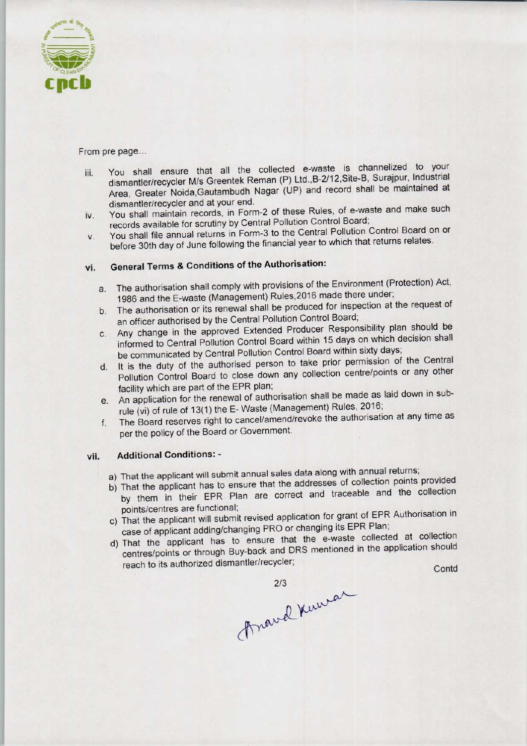

From pre page...

- iii. You shall ensure that all the collected e-waste is channelized to your dismantler/recycler M/s Greentek Reman (P) Ltd.,B-2/12,Site-B, Surajpur, Industrial Area, Greater Noida,Gautambudh Nagar (UP) and record shall be maintained at dismantler/recycler and at your end.
- iv. You shall maintain records, in Form-2 of these Rules, of e-waste and make such records available for scrutiny by Central Pollution Control Board;
- v. You shall file annual returns in Form-3 to the Central Pollution Control Board on or before 30th day of June following the financial year to which that returns relates.

## vi. General Terms & Conditions of the Authorisation:

- a. The authorisation shall comply with provisions of the Environment (Protection) Act, 1986 and the E-waste (Management) Rules,2016 made there under;
- b. The authorisation or its renewal shall be produced for inspection at the request of an officer authorised by the Central Pollution Control Board;
- c.Any change in the approved Extended Producer Responsibility plan should be informed to Central Pollution Control Board within 15 days on which decision shall be communicated by Central Pollution Control Board within sixty days;
- d. It is the duty of the authorised person to take prior permission of the Central Pollution Control Board to close down any collection centre/points or any other facility which are part of the EPR plan;
- e.An application for the renewal of authorisation shall be made as laid down in subrule (vi) of rule of 13(1) the E-Waste (Management) Rules, 2016;
- f.The Board reserves right to cancel/amend/revoke the authorisation at any time as per the policy of the Board or Government.

#### vii. Additional Conditions: -

- a) That the applicant will submit annual sales data along with annual returns;
- b) That the applicant has to ensure that the addresses of collection points provided by them in their EPR Plan are correct and traceable and the collection points/centres are functional;
- points/centres are functional;<br>a) That the applicant will submit revised application for grant of EPR Authorisation in case of applicant adding/changing PRO or changing its EPR Plan;
- d)That the applicant has to ensure that the e-waste collected at collection centres/points or through Buy-back and DRS mentioned in the application should Fract the applicant to close down any collection centrality which are part of the EPR plan;<br>
In application for the renewal of authorisation shall be made the civil of rule of 13(1) the E-Waste (Management) Rules, 2<br>
The Le and the collection<br>of EPR Authorisation in<br>Replacted at collection<br>the application should<br>Contd

2/3